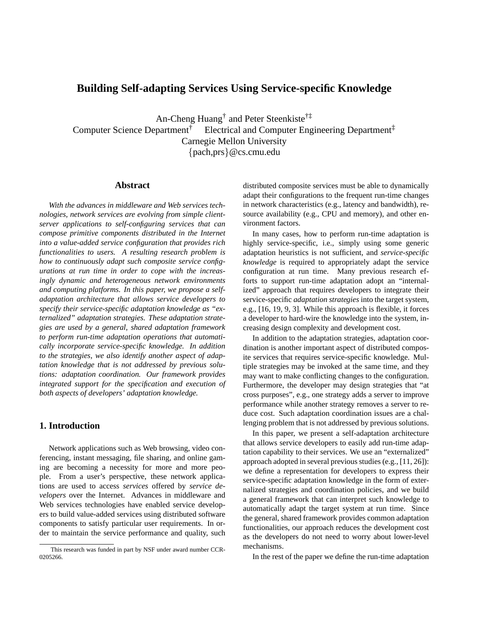# **Building Self-adapting Services Using Service-specific Knowledge**

An-Cheng Huang† and Peter Steenkiste†‡ Computer Science Department<sup>†</sup> Electrical and Computer Engineering Department<sup>‡</sup> Carnegie Mellon University {pach,prs}@cs.cmu.edu

#### **Abstract**

*With the advances in middleware and Web services technologies, network services are evolving from simple clientserver applications to self-configuring services that can compose primitive components distributed in the Internet into a value-added service configuration that provides rich functionalities to users. A resulting research problem is how to continuously adapt such composite service configurations at run time in order to cope with the increasingly dynamic and heterogeneous network environments and computing platforms. In this paper, we propose a selfadaptation architecture that allows service developers to specify their service-specific adaptation knowledge as "externalized" adaptation strategies. These adaptation strategies are used by a general, shared adaptation framework to perform run-time adaptation operations that automatically incorporate service-specific knowledge. In addition to the strategies, we also identify another aspect of adaptation knowledge that is not addressed by previous solutions: adaptation coordination. Our framework provides integrated support for the specification and execution of both aspects of developers' adaptation knowledge.*

# **1. Introduction**

Network applications such as Web browsing, video conferencing, instant messaging, file sharing, and online gaming are becoming a necessity for more and more people. From a user's perspective, these network applications are used to access *services* offered by *service developers* over the Internet. Advances in middleware and Web services technologies have enabled service developers to build value-added services using distributed software components to satisfy particular user requirements. In order to maintain the service performance and quality, such distributed composite services must be able to dynamically adapt their configurations to the frequent run-time changes in network characteristics (e.g., latency and bandwidth), resource availability (e.g., CPU and memory), and other environment factors.

In many cases, how to perform run-time adaptation is highly service-specific, i.e., simply using some generic adaptation heuristics is not sufficient, and *service-specific knowledge* is required to appropriately adapt the service configuration at run time. Many previous research efforts to support run-time adaptation adopt an "internalized" approach that requires developers to integrate their service-specific *adaptation strategies* into the target system, e.g., [16, 19, 9, 3]. While this approach is flexible, it forces a developer to hard-wire the knowledge into the system, increasing design complexity and development cost.

In addition to the adaptation strategies, adaptation coordination is another important aspect of distributed composite services that requires service-specific knowledge. Multiple strategies may be invoked at the same time, and they may want to make conflicting changes to the configuration. Furthermore, the developer may design strategies that "at cross purposes", e.g., one strategy adds a server to improve performance while another strategy removes a server to reduce cost. Such adaptation coordination issues are a challenging problem that is not addressed by previous solutions.

In this paper, we present a self-adaptation architecture that allows service developers to easily add run-time adaptation capability to their services. We use an "externalized" approach adopted in several previous studies (e.g., [11, 26]): we define a representation for developers to express their service-specific adaptation knowledge in the form of externalized strategies and coordination policies, and we build a general framework that can interpret such knowledge to automatically adapt the target system at run time. Since the general, shared framework provides common adaptation functionalities, our approach reduces the development cost as the developers do not need to worry about lower-level mechanisms.

In the rest of the paper we define the run-time adaptation

This research was funded in part by NSF under award number CCR-0205266.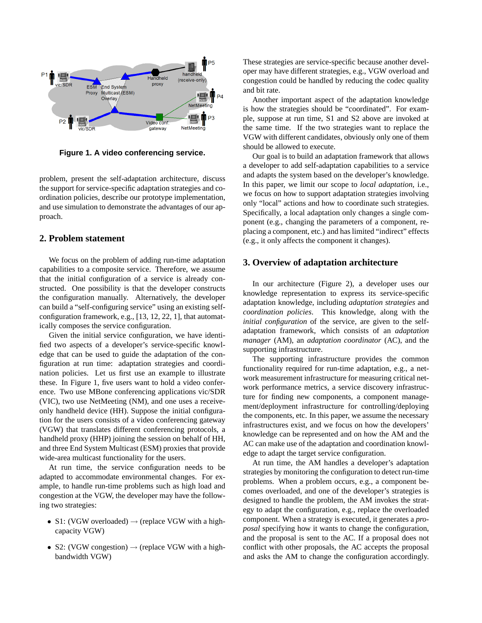

**Figure 1. A video conferencing service.**

problem, present the self-adaptation architecture, discuss the support for service-specific adaptation strategies and coordination policies, describe our prototype implementation, and use simulation to demonstrate the advantages of our approach.

# **2. Problem statement**

We focus on the problem of adding run-time adaptation capabilities to a composite service. Therefore, we assume that the initial configuration of a service is already constructed. One possibility is that the developer constructs the configuration manually. Alternatively, the developer can build a "self-configuring service" using an existing selfconfiguration framework, e.g., [13, 12, 22, 1], that automatically composes the service configuration.

Given the initial service configuration, we have identified two aspects of a developer's service-specific knowledge that can be used to guide the adaptation of the configuration at run time: adaptation strategies and coordination policies. Let us first use an example to illustrate these. In Figure 1, five users want to hold a video conference. Two use MBone conferencing applications vic/SDR (VIC), two use NetMeeting (NM), and one uses a receiveonly handheld device (HH). Suppose the initial configuration for the users consists of a video conferencing gateway (VGW) that translates different conferencing protocols, a handheld proxy (HHP) joining the session on behalf of HH, and three End System Multicast (ESM) proxies that provide wide-area multicast functionality for the users.

At run time, the service configuration needs to be adapted to accommodate environmental changes. For example, to handle run-time problems such as high load and congestion at the VGW, the developer may have the following two strategies:

- S1: (VGW overloaded)  $\rightarrow$  (replace VGW with a highcapacity VGW)
- S2: (VGW congestion)  $\rightarrow$  (replace VGW with a highbandwidth VGW)

These strategies are service-specific because another developer may have different strategies, e.g., VGW overload and congestion could be handled by reducing the codec quality and bit rate.

Another important aspect of the adaptation knowledge is how the strategies should be "coordinated". For example, suppose at run time, S1 and S2 above are invoked at the same time. If the two strategies want to replace the VGW with different candidates, obviously only one of them should be allowed to execute.

Our goal is to build an adaptation framework that allows a developer to add self-adaptation capabilities to a service and adapts the system based on the developer's knowledge. In this paper, we limit our scope to *local adaptation*, i.e., we focus on how to support adaptation strategies involving only "local" actions and how to coordinate such strategies. Specifically, a local adaptation only changes a single component (e.g., changing the parameters of a component, replacing a component, etc.) and has limited "indirect" effects (e.g., it only affects the component it changes).

### **3. Overview of adaptation architecture**

In our architecture (Figure 2), a developer uses our knowledge representation to express its service-specific adaptation knowledge, including *adaptation strategies* and *coordination policies*. This knowledge, along with the *initial configuration* of the service, are given to the selfadaptation framework, which consists of an *adaptation manager* (AM), an *adaptation coordinator* (AC), and the supporting infrastructure.

The supporting infrastructure provides the common functionality required for run-time adaptation, e.g., a network measurement infrastructure for measuring critical network performance metrics, a service discovery infrastructure for finding new components, a component management/deployment infrastructure for controlling/deploying the components, etc. In this paper, we assume the necessary infrastructures exist, and we focus on how the developers' knowledge can be represented and on how the AM and the AC can make use of the adaptation and coordination knowledge to adapt the target service configuration.

At run time, the AM handles a developer's adaptation strategies by monitoring the configuration to detect run-time problems. When a problem occurs, e.g., a component becomes overloaded, and one of the developer's strategies is designed to handle the problem, the AM invokes the strategy to adapt the configuration, e.g., replace the overloaded component. When a strategy is executed, it generates a *proposal* specifying how it wants to change the configuration, and the proposal is sent to the AC. If a proposal does not conflict with other proposals, the AC accepts the proposal and asks the AM to change the configuration accordingly.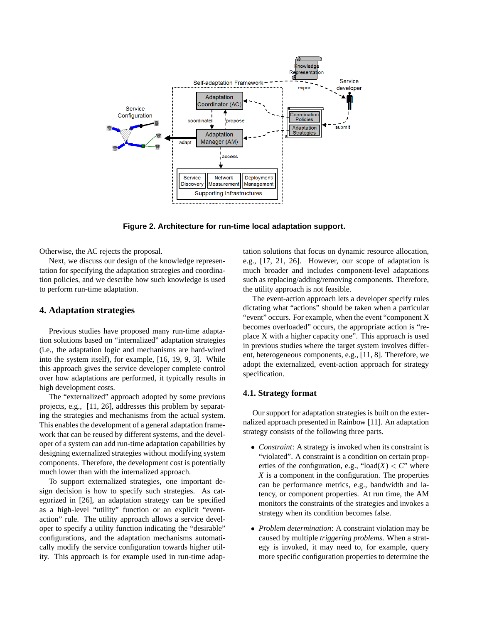

**Figure 2. Architecture for run-time local adaptation support.**

Otherwise, the AC rejects the proposal.

Next, we discuss our design of the knowledge representation for specifying the adaptation strategies and coordination policies, and we describe how such knowledge is used to perform run-time adaptation.

### **4. Adaptation strategies**

Previous studies have proposed many run-time adaptation solutions based on "internalized" adaptation strategies (i.e., the adaptation logic and mechanisms are hard-wired into the system itself), for example, [16, 19, 9, 3]. While this approach gives the service developer complete control over how adaptations are performed, it typically results in high development costs.

The "externalized" approach adopted by some previous projects, e.g., [11, 26], addresses this problem by separating the strategies and mechanisms from the actual system. This enables the development of a general adaptation framework that can be reused by different systems, and the developer of a system can add run-time adaptation capabilities by designing externalized strategies without modifying system components. Therefore, the development cost is potentially much lower than with the internalized approach.

To support externalized strategies, one important design decision is how to specify such strategies. As categorized in [26], an adaptation strategy can be specified as a high-level "utility" function or an explicit "eventaction" rule. The utility approach allows a service developer to specify a utility function indicating the "desirable" configurations, and the adaptation mechanisms automatically modify the service configuration towards higher utility. This approach is for example used in run-time adaptation solutions that focus on dynamic resource allocation, e.g., [17, 21, 26]. However, our scope of adaptation is much broader and includes component-level adaptations such as replacing/adding/removing components. Therefore, the utility approach is not feasible.

The event-action approach lets a developer specify rules dictating what "actions" should be taken when a particular "event" occurs. For example, when the event "component X becomes overloaded" occurs, the appropriate action is "replace X with a higher capacity one". This approach is used in previous studies where the target system involves different, heterogeneous components, e.g., [11, 8]. Therefore, we adopt the externalized, event-action approach for strategy specification.

# **4.1. Strategy format**

Our support for adaptation strategies is built on the externalized approach presented in Rainbow [11]. An adaptation strategy consists of the following three parts.

- *Constraint*: A strategy is invoked when its constraint is "violated". A constraint is a condition on certain properties of the configuration, e.g., " $\text{load}(X) < C$ " where *X* is a component in the configuration. The properties can be performance metrics, e.g., bandwidth and latency, or component properties. At run time, the AM monitors the constraints of the strategies and invokes a strategy when its condition becomes false.
- *Problem determination*: A constraint violation may be caused by multiple *triggering problems*. When a strategy is invoked, it may need to, for example, query more specific configuration properties to determine the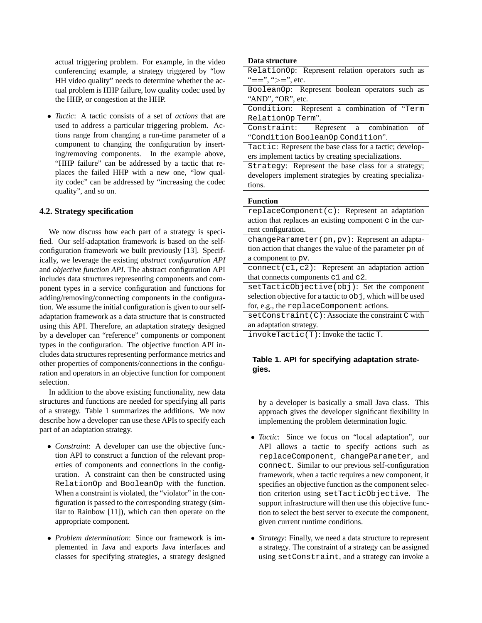actual triggering problem. For example, in the video conferencing example, a strategy triggered by "low HH video quality" needs to determine whether the actual problem is HHP failure, low quality codec used by the HHP, or congestion at the HHP.

• *Tactic*: A tactic consists of a set of *actions* that are used to address a particular triggering problem. Actions range from changing a run-time parameter of a component to changing the configuration by inserting/removing components. In the example above, "HHP failure" can be addressed by a tactic that replaces the failed HHP with a new one, "low quality codec" can be addressed by "increasing the codec quality", and so on.

### **4.2. Strategy specification**

We now discuss how each part of a strategy is specified. Our self-adaptation framework is based on the selfconfiguration framework we built previously [13]. Specifically, we leverage the existing *abstract configuration API* and *objective function API*. The abstract configuration API includes data structures representing components and component types in a service configuration and functions for adding/removing/connecting components in the configuration. We assume the initial configuration is given to our selfadaptation framework as a data structure that is constructed using this API. Therefore, an adaptation strategy designed by a developer can "reference" components or component types in the configuration. The objective function API includes data structures representing performance metrics and other properties of components/connections in the configuration and operators in an objective function for component selection.

In addition to the above existing functionality, new data structures and functions are needed for specifying all parts of a strategy. Table 1 summarizes the additions. We now describe how a developer can use these APIs to specify each part of an adaptation strategy.

- *Constraint*: A developer can use the objective function API to construct a function of the relevant properties of components and connections in the configuration. A constraint can then be constructed using RelationOp and BooleanOp with the function. When a constraint is violated, the "violator" in the configuration is passed to the corresponding strategy (similar to Rainbow [11]), which can then operate on the appropriate component.
- *Problem determination*: Since our framework is implemented in Java and exports Java interfaces and classes for specifying strategies, a strategy designed

#### **Data structure**

- RelationOp: Represent relation operators such as "==", ">=", etc.
- BooleanOp: Represent boolean operators such as "AND", "OR", etc.
- Condition: Represent a combination of "Term RelationOp Term".
- Constraint: Represent a combination of "Condition BooleanOp Condition".
- Tactic: Represent the base class for a tactic; developers implement tactics by creating specializations.

Strategy: Represent the base class for a strategy; developers implement strategies by creating specializations.

#### **Function**

replaceComponent(c): Represent an adaptation action that replaces an existing component c in the current configuration.

changeParameter(pn,pv): Represent an adaptation action that changes the value of the parameter pn of a component to pv.

connect(c1,c2): Represent an adaptation action that connects components c1 and c2.

setTacticObjective(obj): Set the component selection objective for a tactic to  $\circ$ bj, which will be used for, e.g., the replaceComponent actions.

setConstraint(C): Associate the constraint C with an adaptation strategy.

invokeTactic(T): Invoke the tactic T.

# **Table 1. API for specifying adaptation strategies.**

by a developer is basically a small Java class. This approach gives the developer significant flexibility in implementing the problem determination logic.

- *Tactic*: Since we focus on "local adaptation", our API allows a tactic to specify actions such as replaceComponent, changeParameter, and connect. Similar to our previous self-configuration framework, when a tactic requires a new component, it specifies an objective function as the component selection criterion using setTacticObjective. The support infrastructure will then use this objective function to select the best server to execute the component, given current runtime conditions.
- *Strategy*: Finally, we need a data structure to represent a strategy. The constraint of a strategy can be assigned using setConstraint, and a strategy can invoke a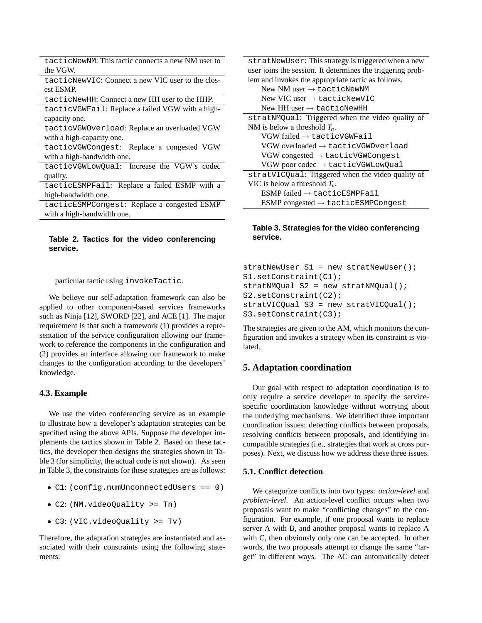| tacticNewNM: This tactic connects a new NM user to |  |  |
|----------------------------------------------------|--|--|
| the VGW.                                           |  |  |

tacticNewVIC: Connect a new VIC user to the closest ESMP.

tacticNewHH: Connect a new HH user to the HHP. tacticVGWFail: Replace a failed VGW with a highcapacity one.

tacticVGWOverload: Replace an overloaded VGW with a high-capacity one.

tacticVGWCongest: Replace a congested VGW with a high-bandwidth one.

tacticVGWLowQual: Increase the VGW's codec quality.

tacticESMPFail: Replace a failed ESMP with a high-bandwidth one.

tacticESMPCongest: Replace a congested ESMP with a high-bandwidth one.

# **Table 2. Tactics for the video conferencing service.**

particular tactic using invokeTactic.

We believe our self-adaptation framework can also be applied to other component-based services frameworks such as Ninja [12], SWORD [22], and ACE [1]. The major requirement is that such a framework (1) provides a representation of the service configuration allowing our framework to reference the components in the configuration and (2) provides an interface allowing our framework to make changes to the configuration according to the developers' knowledge.

#### **4.3. Example**

We use the video conferencing service as an example to illustrate how a developer's adaptation strategies can be specified using the above APIs. Suppose the developer implements the tactics shown in Table 2. Based on these tactics, the developer then designs the strategies shown in Table 3 (for simplicity, the actual code is not shown). As seen in Table 3, the constraints for these strategies are as follows:

- C1: (config.numUnconnectedUsers == 0)
- C2: (NM.videoQuality >= Tn)
- C3: (VIC.videoQuality >= Tv)

Therefore, the adaptation strategies are instantiated and associated with their constraints using the following statements:

| stratNewUser: This strategy is triggered when a new        |  |  |  |  |
|------------------------------------------------------------|--|--|--|--|
| user joins the session. It determines the triggering prob- |  |  |  |  |
| lem and invokes the appropriate tactic as follows.         |  |  |  |  |
| New NM user $\rightarrow$ tacticNewNM                      |  |  |  |  |
| New VIC user $\rightarrow$ tacticNewVIC                    |  |  |  |  |
| New HH user $\rightarrow$ tacticNewHH                      |  |  |  |  |
| stratNMQual: Triggered when the video quality of           |  |  |  |  |
| NM is below a threshold $T_n$ .                            |  |  |  |  |
| $VGW$ failed $\rightarrow$ tacticVGWFail                   |  |  |  |  |
| $VGW$ overloaded $\rightarrow$ tacticVGWOverload           |  |  |  |  |
| $VGW$ congested $\rightarrow$ tacticVGWCongest             |  |  |  |  |
| VGW poor codec $\rightarrow$ tacticVGWLowQual              |  |  |  |  |
| stratVICQual: Triggered when the video quality of          |  |  |  |  |
| VIC is below a threshold $T_{\nu}$ .                       |  |  |  |  |
| $ESMP$ failed $\rightarrow$ tacticESMPFail                 |  |  |  |  |
| $ESMP$ congested $\rightarrow$ tacticESMPCongest           |  |  |  |  |

# **Table 3. Strategies for the video conferencing service.**

```
stratNewUser S1 = new stratNewUser();
S1.setConstraint(C1);
stratNMQual S2 = new stratNMQual();
S2.setConstraint(C2);
stratVICQual S3 = new stratVICQual();
S3.setConstraint(C3);
```
The strategies are given to the AM, which monitors the configuration and invokes a strategy when its constraint is violated.

# **5. Adaptation coordination**

Our goal with respect to adaptation coordination is to only require a service developer to specify the servicespecific coordination knowledge without worrying about the underlying mechanisms. We identified three important coordination issues: detecting conflicts between proposals, resolving conflicts between proposals, and identifying incompatible strategies (i.e., strategies that work at cross purposes). Next, we discuss how we address these three issues.

# **5.1. Conflict detection**

We categorize conflicts into two types: *action-level* and *problem-level*. An action-level conflict occurs when two proposals want to make "conflicting changes" to the configuration. For example, if one proposal wants to replace server A with B, and another proposal wants to replace A with C, then obviously only one can be accepted. In other words, the two proposals attempt to change the same "target" in different ways. The AC can automatically detect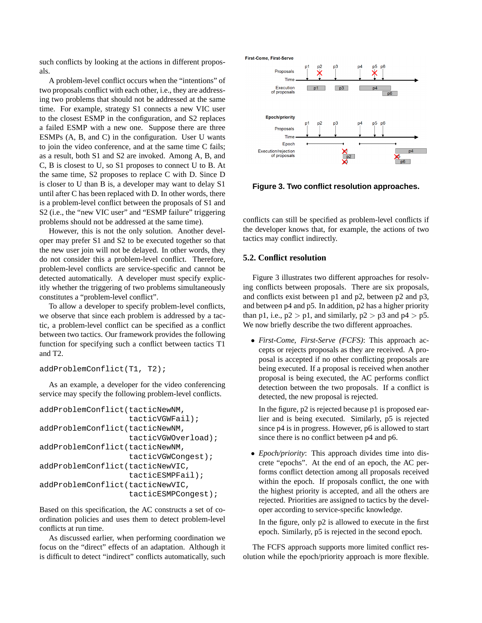such conflicts by looking at the actions in different proposals.

A problem-level conflict occurs when the "intentions" of two proposals conflict with each other, i.e., they are addressing two problems that should not be addressed at the same time. For example, strategy S1 connects a new VIC user to the closest ESMP in the configuration, and S2 replaces a failed ESMP with a new one. Suppose there are three ESMPs (A, B, and C) in the configuration. User U wants to join the video conference, and at the same time C fails; as a result, both S1 and S2 are invoked. Among A, B, and C, B is closest to U, so S1 proposes to connect U to B. At the same time, S2 proposes to replace C with D. Since D is closer to U than B is, a developer may want to delay S1 until after C has been replaced with D. In other words, there is a problem-level conflict between the proposals of S1 and S2 (i.e., the "new VIC user" and "ESMP failure" triggering problems should not be addressed at the same time).

However, this is not the only solution. Another developer may prefer S1 and S2 to be executed together so that the new user join will not be delayed. In other words, they do not consider this a problem-level conflict. Therefore, problem-level conflicts are service-specific and cannot be detected automatically. A developer must specify explicitly whether the triggering of two problems simultaneously constitutes a "problem-level conflict".

To allow a developer to specify problem-level conflicts, we observe that since each problem is addressed by a tactic, a problem-level conflict can be specified as a conflict between two tactics. Our framework provides the following function for specifying such a conflict between tactics T1 and T2.

```
addProblemConflict(T1, T2);
```
As an example, a developer for the video conferencing service may specify the following problem-level conflicts.

```
addProblemConflict(tacticNewNM,
                   tacticVGWFail);
addProblemConflict(tacticNewNM,
                   tacticVGWOverload);
addProblemConflict(tacticNewNM,
                   tacticVGWCongest);
addProblemConflict(tacticNewVIC,
                   tacticESMPFail);
addProblemConflict(tacticNewVIC,
                   tacticESMPCongest);
```
Based on this specification, the AC constructs a set of coordination policies and uses them to detect problem-level conflicts at run time.

As discussed earlier, when performing coordination we focus on the "direct" effects of an adaptation. Although it is difficult to detect "indirect" conflicts automatically, such First-Come, First-Serve



**Figure 3. Two conflict resolution approaches.**

conflicts can still be specified as problem-level conflicts if the developer knows that, for example, the actions of two tactics may conflict indirectly.

# **5.2. Conflict resolution**

Figure 3 illustrates two different approaches for resolving conflicts between proposals. There are six proposals, and conflicts exist between p1 and p2, between p2 and p3, and between p4 and p5. In addition, p2 has a higher priority than p1, i.e.,  $p2 > p1$ , and similarly,  $p2 > p3$  and  $p4 > p5$ . We now briefly describe the two different approaches.

• *First-Come, First-Serve (FCFS)*: This approach accepts or rejects proposals as they are received. A proposal is accepted if no other conflicting proposals are being executed. If a proposal is received when another proposal is being executed, the AC performs conflict detection between the two proposals. If a conflict is detected, the new proposal is rejected.

In the figure, p2 is rejected because p1 is proposed earlier and is being executed. Similarly, p5 is rejected since p4 is in progress. However, p6 is allowed to start since there is no conflict between p4 and p6.

• *Epoch/priority*: This approach divides time into discrete "epochs". At the end of an epoch, the AC performs conflict detection among all proposals received within the epoch. If proposals conflict, the one with the highest priority is accepted, and all the others are rejected. Priorities are assigned to tactics by the developer according to service-specific knowledge.

In the figure, only p2 is allowed to execute in the first epoch. Similarly, p5 is rejected in the second epoch.

The FCFS approach supports more limited conflict resolution while the epoch/priority approach is more flexible.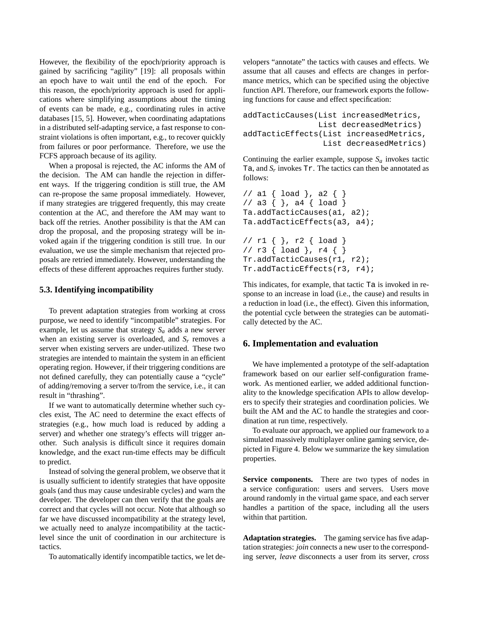However, the flexibility of the epoch/priority approach is gained by sacrificing "agility" [19]: all proposals within an epoch have to wait until the end of the epoch. For this reason, the epoch/priority approach is used for applications where simplifying assumptions about the timing of events can be made, e.g., coordinating rules in active databases [15, 5]. However, when coordinating adaptations in a distributed self-adapting service, a fast response to constraint violations is often important, e.g., to recover quickly from failures or poor performance. Therefore, we use the FCFS approach because of its agility.

When a proposal is rejected, the AC informs the AM of the decision. The AM can handle the rejection in different ways. If the triggering condition is still true, the AM can re-propose the same proposal immediately. However, if many strategies are triggered frequently, this may create contention at the AC, and therefore the AM may want to back off the retries. Another possibility is that the AM can drop the proposal, and the proposing strategy will be invoked again if the triggering condition is still true. In our evaluation, we use the simple mechanism that rejected proposals are retried immediately. However, understanding the effects of these different approaches requires further study.

#### **5.3. Identifying incompatibility**

To prevent adaptation strategies from working at cross purpose, we need to identify "incompatible" strategies. For example, let us assume that strategy  $S_a$  adds a new server when an existing server is overloaded, and  $S_r$  removes a server when existing servers are under-utilized. These two strategies are intended to maintain the system in an efficient operating region. However, if their triggering conditions are not defined carefully, they can potentially cause a "cycle" of adding/removing a server to/from the service, i.e., it can result in "thrashing".

If we want to automatically determine whether such cycles exist, The AC need to determine the exact effects of strategies (e.g., how much load is reduced by adding a server) and whether one strategy's effects will trigger another. Such analysis is difficult since it requires domain knowledge, and the exact run-time effects may be difficult to predict.

Instead of solving the general problem, we observe that it is usually sufficient to identify strategies that have opposite goals (and thus may cause undesirable cycles) and warn the developer. The developer can then verify that the goals are correct and that cycles will not occur. Note that although so far we have discussed incompatibility at the strategy level, we actually need to analyze incompatibility at the tacticlevel since the unit of coordination in our architecture is tactics.

To automatically identify incompatible tactics, we let de-

velopers "annotate" the tactics with causes and effects. We assume that all causes and effects are changes in performance metrics, which can be specified using the objective function API. Therefore, our framework exports the following functions for cause and effect specification:

```
addTacticCauses(List increasedMetrics,
                List decreasedMetrics)
addTacticEffects(List increasedMetrics,
                 List decreasedMetrics)
```
Continuing the earlier example, suppose  $S_a$  invokes tactic Ta, and  $S_r$  invokes Tr. The tactics can then be annotated as follows:

```
// a1 { load }, a2 { }
// a3 \{ \}, a4 \{ load \}Ta.addTacticCauses(a1, a2);
Ta.addTacticEffects(a3, a4);
// r1 { }, r2 { load }
// r3 { load }, r4 { }
Tr.addTacticCauses(r1, r2);
Tr.addTacticEffects(r3, r4);
```
This indicates, for example, that tactic Ta is invoked in response to an increase in load (i.e., the cause) and results in a reduction in load (i.e., the effect). Given this information, the potential cycle between the strategies can be automatically detected by the AC.

### **6. Implementation and evaluation**

We have implemented a prototype of the self-adaptation framework based on our earlier self-configuration framework. As mentioned earlier, we added additional functionality to the knowledge specification APIs to allow developers to specify their strategies and coordination policies. We built the AM and the AC to handle the strategies and coordination at run time, respectively.

To evaluate our approach, we applied our framework to a simulated massively multiplayer online gaming service, depicted in Figure 4. Below we summarize the key simulation properties.

**Service components.** There are two types of nodes in a service configuration: users and servers. Users move around randomly in the virtual game space, and each server handles a partition of the space, including all the users within that partition.

**Adaptation strategies.** The gaming service has five adaptation strategies: *join* connects a new user to the corresponding server, *leave* disconnects a user from its server, *cross*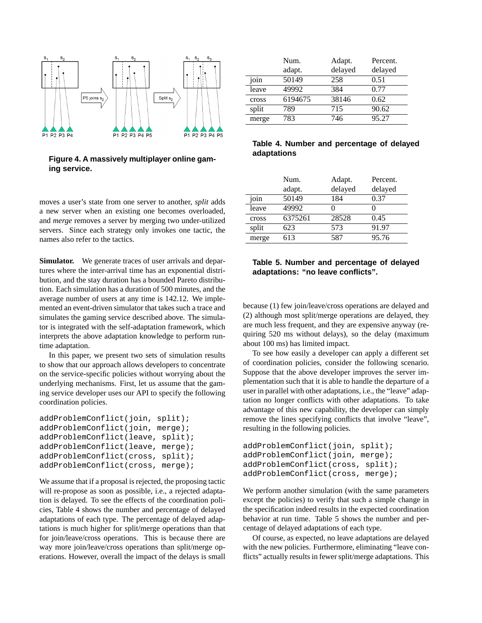

**Figure 4. A massively multiplayer online gaming service.**

moves a user's state from one server to another, *split* adds a new server when an existing one becomes overloaded, and *merge* removes a server by merging two under-utilized servers. Since each strategy only invokes one tactic, the names also refer to the tactics.

**Simulator.** We generate traces of user arrivals and departures where the inter-arrival time has an exponential distribution, and the stay duration has a bounded Pareto distribution. Each simulation has a duration of 500 minutes, and the average number of users at any time is 142.12. We implemented an event-driven simulator that takes such a trace and simulates the gaming service described above. The simulator is integrated with the self-adaptation framework, which interprets the above adaptation knowledge to perform runtime adaptation.

In this paper, we present two sets of simulation results to show that our approach allows developers to concentrate on the service-specific policies without worrying about the underlying mechanisms. First, let us assume that the gaming service developer uses our API to specify the following coordination policies.

```
addProblemConflict(join, split);
addProblemConflict(join, merge);
addProblemConflict(leave, split);
addProblemConflict(leave, merge);
addProblemConflict(cross, split);
addProblemConflict(cross, merge);
```
We assume that if a proposal is rejected, the proposing tactic will re-propose as soon as possible, i.e., a rejected adaptation is delayed. To see the effects of the coordination policies, Table 4 shows the number and percentage of delayed adaptations of each type. The percentage of delayed adaptations is much higher for split/merge operations than that for join/leave/cross operations. This is because there are way more join/leave/cross operations than split/merge operations. However, overall the impact of the delays is small

|       | Num.    | Adapt.  | Percent. |
|-------|---------|---------|----------|
|       | adapt.  | delayed | delayed  |
| join  | 50149   | 258     | 0.51     |
| leave | 49992   | 384     | 0.77     |
| cross | 6194675 | 38146   | 0.62     |
| split | 789     | 715     | 90.62    |
| merge | 783     | 746     | 95.27    |

### **Table 4. Number and percentage of delayed adaptations**

|       | Num.    | Adapt.  | Percent. |
|-------|---------|---------|----------|
|       | adapt.  | delayed | delayed  |
| join  | 50149   | 184     | 0.37     |
| leave | 49992   |         |          |
| cross | 6375261 | 28528   | 0.45     |
| split | 623     | 573     | 91.97    |
| merge | 613     | 587     | 95.76    |

# **Table 5. Number and percentage of delayed adaptations: "no leave conflicts".**

because (1) few join/leave/cross operations are delayed and (2) although most split/merge operations are delayed, they are much less frequent, and they are expensive anyway (requiring 520 ms without delays), so the delay (maximum about 100 ms) has limited impact.

To see how easily a developer can apply a different set of coordination policies, consider the following scenario. Suppose that the above developer improves the server implementation such that it is able to handle the departure of a user in parallel with other adaptations, i.e., the "leave" adaptation no longer conflicts with other adaptations. To take advantage of this new capability, the developer can simply remove the lines specifying conflicts that involve "leave", resulting in the following policies.

```
addProblemConflict(join, split);
addProblemConflict(join, merge);
addProblemConflict(cross, split);
addProblemConflict(cross, merge);
```
We perform another simulation (with the same parameters except the policies) to verify that such a simple change in the specification indeed results in the expected coordination behavior at run time. Table 5 shows the number and percentage of delayed adaptations of each type.

Of course, as expected, no leave adaptations are delayed with the new policies. Furthermore, eliminating "leave conflicts" actually results in fewer split/merge adaptations. This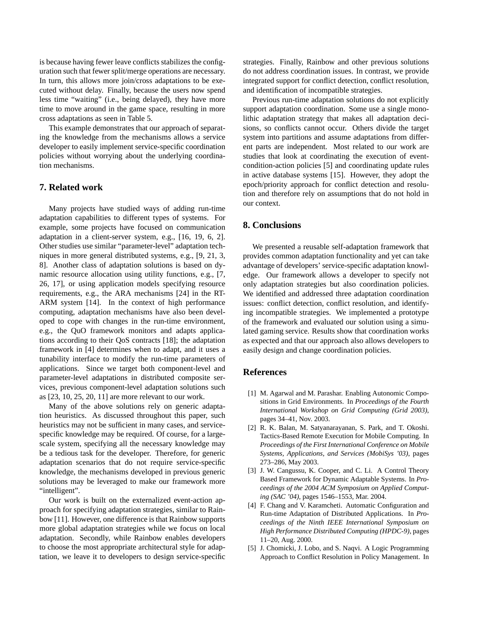is because having fewer leave conflicts stabilizes the configuration such that fewer split/merge operations are necessary. In turn, this allows more join/cross adaptations to be executed without delay. Finally, because the users now spend less time "waiting" (i.e., being delayed), they have more time to move around in the game space, resulting in more cross adaptations as seen in Table 5.

This example demonstrates that our approach of separating the knowledge from the mechanisms allows a service developer to easily implement service-specific coordination policies without worrying about the underlying coordination mechanisms.

# **7. Related work**

Many projects have studied ways of adding run-time adaptation capabilities to different types of systems. For example, some projects have focused on communication adaptation in a client-server system, e.g., [16, 19, 6, 2]. Other studies use similar "parameter-level" adaptation techniques in more general distributed systems, e.g., [9, 21, 3, 8]. Another class of adaptation solutions is based on dynamic resource allocation using utility functions, e.g., [7, 26, 17], or using application models specifying resource requirements, e.g., the ARA mechanisms [24] in the RT-ARM system [14]. In the context of high performance computing, adaptation mechanisms have also been developed to cope with changes in the run-time environment, e.g., the QuO framework monitors and adapts applications according to their QoS contracts [18]; the adaptation framework in [4] determines when to adapt, and it uses a tunability interface to modify the run-time parameters of applications. Since we target both component-level and parameter-level adaptations in distributed composite services, previous component-level adaptation solutions such as [23, 10, 25, 20, 11] are more relevant to our work.

Many of the above solutions rely on generic adaptation heuristics. As discussed throughout this paper, such heuristics may not be sufficient in many cases, and servicespecific knowledge may be required. Of course, for a largescale system, specifying all the necessary knowledge may be a tedious task for the developer. Therefore, for generic adaptation scenarios that do not require service-specific knowledge, the mechanisms developed in previous generic solutions may be leveraged to make our framework more "intelligent".

Our work is built on the externalized event-action approach for specifying adaptation strategies, similar to Rainbow [11]. However, one difference is that Rainbow supports more global adaptation strategies while we focus on local adaptation. Secondly, while Rainbow enables developers to choose the most appropriate architectural style for adaptation, we leave it to developers to design service-specific strategies. Finally, Rainbow and other previous solutions do not address coordination issues. In contrast, we provide integrated support for conflict detection, conflict resolution, and identification of incompatible strategies.

Previous run-time adaptation solutions do not explicitly support adaptation coordination. Some use a single monolithic adaptation strategy that makes all adaptation decisions, so conflicts cannot occur. Others divide the target system into partitions and assume adaptations from different parts are independent. Most related to our work are studies that look at coordinating the execution of eventcondition-action policies [5] and coordinating update rules in active database systems [15]. However, they adopt the epoch/priority approach for conflict detection and resolution and therefore rely on assumptions that do not hold in our context.

# **8. Conclusions**

We presented a reusable self-adaptation framework that provides common adaptation functionality and yet can take advantage of developers' service-specific adaptation knowledge. Our framework allows a developer to specify not only adaptation strategies but also coordination policies. We identified and addressed three adaptation coordination issues: conflict detection, conflict resolution, and identifying incompatible strategies. We implemented a prototype of the framework and evaluated our solution using a simulated gaming service. Results show that coordination works as expected and that our approach also allows developers to easily design and change coordination policies.

# **References**

- [1] M. Agarwal and M. Parashar. Enabling Autonomic Compositions in Grid Environments. In *Proceedings of the Fourth International Workshop on Grid Computing (Grid 2003)*, pages 34–41, Nov. 2003.
- [2] R. K. Balan, M. Satyanarayanan, S. Park, and T. Okoshi. Tactics-Based Remote Execution for Mobile Computing. In *Proceedings of the First International Conference on Mobile Systems, Applications, and Services (MobiSys '03)*, pages 273–286, May 2003.
- [3] J. W. Cangussu, K. Cooper, and C. Li. A Control Theory Based Framework for Dynamic Adaptable Systems. In *Proceedings of the 2004 ACM Symposium on Applied Computing (SAC '04)*, pages 1546–1553, Mar. 2004.
- [4] F. Chang and V. Karamcheti. Automatic Configuration and Run-time Adaptation of Distributed Applications. In *Proceedings of the Ninth IEEE International Symposium on High Performance Distributed Computing (HPDC-9)*, pages 11–20, Aug. 2000.
- [5] J. Chomicki, J. Lobo, and S. Naqvi. A Logic Programming Approach to Conflict Resolution in Policy Management. In